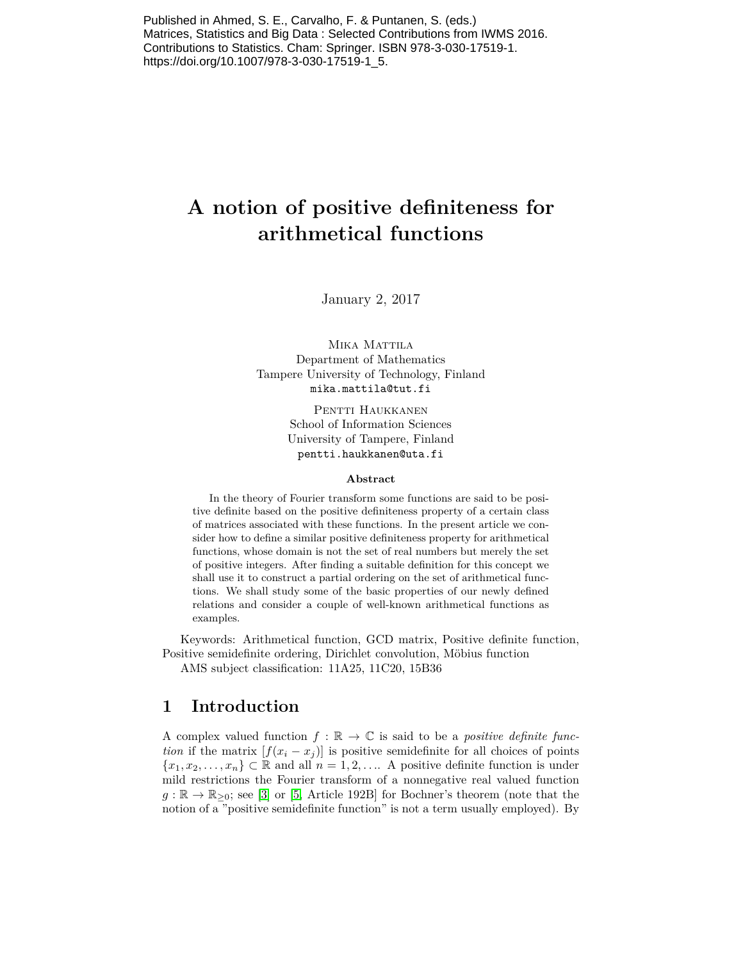Published in Ahmed, S. E., Carvalho, F. & Puntanen, S. (eds.) Matrices, Statistics and Big Data : Selected Contributions from IWMS 2016. Contributions to Statistics. Cham: Springer. ISBN 978-3-030-17519-1. https://doi.org/10.1007/978-3-030-17519-1\_5.

# **A notion of positive definiteness for arithmetical functions**

January 2, 2017

MIKA MATTILA Department of Mathematics Tampere University of Technology, Finland mika.mattila@tut.fi

> PENTTI HAUKKANEN School of Information Sciences University of Tampere, Finland pentti.haukkanen@uta.fi

#### **Abstract**

In the theory of Fourier transform some functions are said to be positive definite based on the positive definiteness property of a certain class of matrices associated with these functions. In the present article we consider how to define a similar positive definiteness property for arithmetical functions, whose domain is not the set of real numbers but merely the set of positive integers. After finding a suitable definition for this concept we shall use it to construct a partial ordering on the set of arithmetical functions. We shall study some of the basic properties of our newly defined relations and consider a couple of well-known arithmetical functions as examples.

Keywords: Arithmetical function, GCD matrix, Positive definite function, Positive semidefinite ordering, Dirichlet convolution, Möbius function

AMS subject classification: 11A25, 11C20, 15B36

#### **1 Introduction**

A complex valued function  $f : \mathbb{R} \to \mathbb{C}$  is said to be a *positive definite function* if the matrix  $[f(x_i - x_j)]$  is positive semidefinite for all choices of points  ${x_1, x_2, \ldots, x_n} \subset \mathbb{R}$  and all  $n = 1, 2, \ldots$  A positive definite function is under mild restrictions the Fourier transform of a nonnegative real valued function  $g : \mathbb{R} \to \mathbb{R}_{\geq 0}$ ; see [\[3\]](#page-12-0) or [\[5,](#page-12-1) Article 192B] for Bochner's theorem (note that the notion of a "positive semidefinite function" is not a term usually employed). By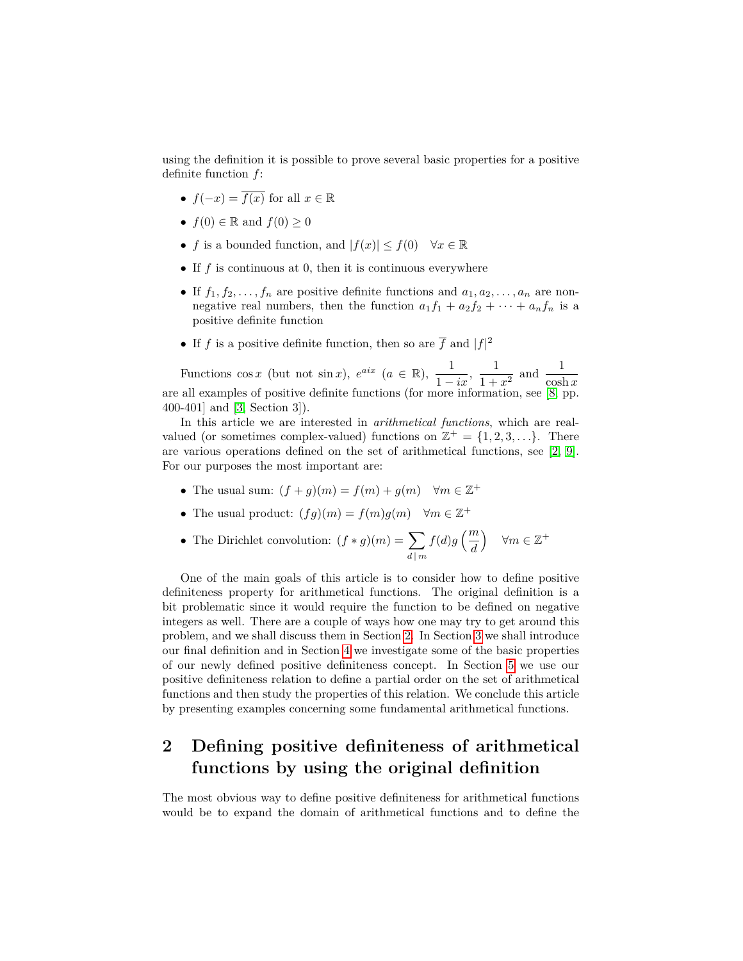using the definition it is possible to prove several basic properties for a positive definite function *f*:

- $f(-x) = \overline{f(x)}$  for all  $x \in \mathbb{R}$
- $f(0) \in \mathbb{R}$  and  $f(0) \geq 0$
- *f* is a bounded function, and  $|f(x)| \le f(0) \quad \forall x \in \mathbb{R}$
- If *f* is continuous at 0, then it is continuous everywhere
- If  $f_1, f_2, \ldots, f_n$  are positive definite functions and  $a_1, a_2, \ldots, a_n$  are nonnegative real numbers, then the function  $a_1 f_1 + a_2 f_2 + \cdots + a_n f_n$  is a positive definite function
- If *f* is a positive definite function, then so are  $\overline{f}$  and  $|f|^2$

Functions cos *x* (but not sin *x*),  $e^{aix}$  ( $a \in \mathbb{R}$ ),  $\frac{1}{1-ix}$ ,  $\frac{1}{1+}$  $\frac{1}{1+x^2}$  and  $\frac{1}{\cosh x}$ are all examples of positive definite functions (for more information, see [\[8,](#page-12-2) pp. 400-401] and [\[3,](#page-12-0) Section 3]).

In this article we are interested in *arithmetical functions*, which are realvalued (or sometimes complex-valued) functions on  $\mathbb{Z}^+ = \{1, 2, 3, \ldots\}$ . There are various operations defined on the set of arithmetical functions, see [\[2,](#page-12-3) [9\]](#page-12-4). For our purposes the most important are:

- The usual sum:  $(f+g)(m) = f(m) + g(m)$   $\forall m \in \mathbb{Z}^+$
- The usual product:  $(fg)(m) = f(m)g(m) \quad \forall m \in \mathbb{Z}^+$
- The Dirichlet convolution:  $(f * g)(m) = \sum$ *d* | *m*  $f(d)g\left(\frac{m}{d}\right)$ *d*  $\forall m \in \mathbb{Z}^+$

One of the main goals of this article is to consider how to define positive definiteness property for arithmetical functions. The original definition is a bit problematic since it would require the function to be defined on negative integers as well. There are a couple of ways how one may try to get around this problem, and we shall discuss them in Section [2.](#page-1-0) In Section [3](#page-2-0) we shall introduce our final definition and in Section [4](#page-3-0) we investigate some of the basic properties of our newly defined positive definiteness concept. In Section [5](#page-7-0) we use our positive definiteness relation to define a partial order on the set of arithmetical functions and then study the properties of this relation. We conclude this article by presenting examples concerning some fundamental arithmetical functions.

### <span id="page-1-0"></span>**2 Defining positive definiteness of arithmetical functions by using the original definition**

The most obvious way to define positive definiteness for arithmetical functions would be to expand the domain of arithmetical functions and to define the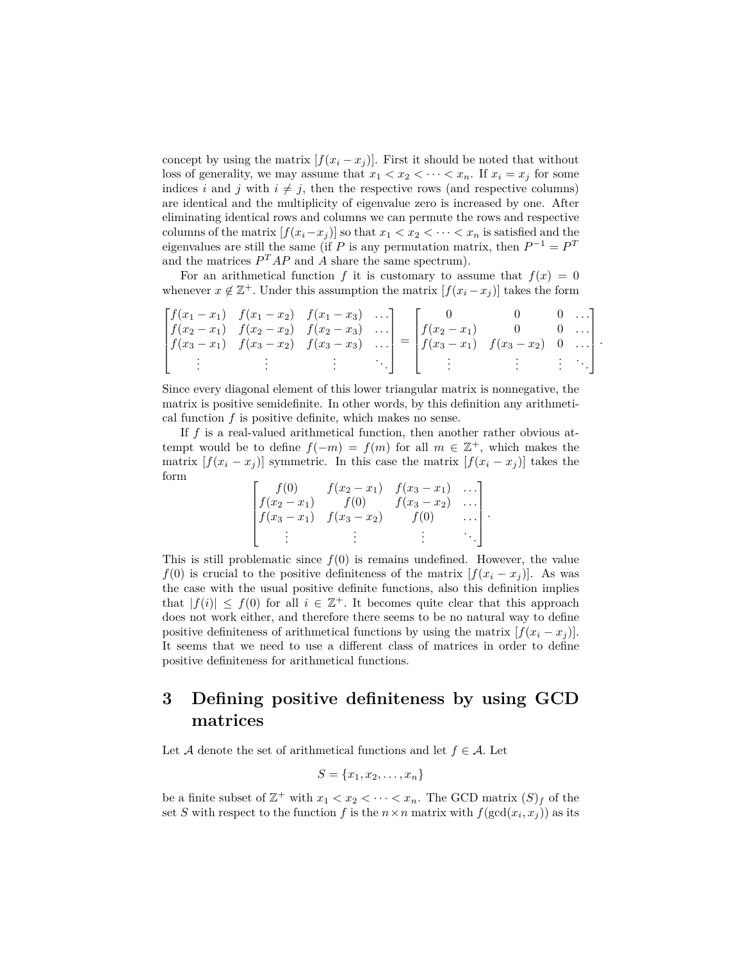concept by using the matrix  $[f(x_i - x_j)]$ . First it should be noted that without loss of generality, we may assume that  $x_1 < x_2 < \cdots < x_n$ . If  $x_i = x_j$  for some indices *i* and *j* with  $i \neq j$ , then the respective rows (and respective columns) are identical and the multiplicity of eigenvalue zero is increased by one. After eliminating identical rows and columns we can permute the rows and respective columns of the matrix  $[f(x_i-x_j)]$  so that  $x_1 < x_2 < \cdots < x_n$  is satisfied and the eigenvalues are still the same (if *P* is any permutation matrix, then  $P^{-1} = P^T$ and the matrices  $P^{T}AP$  and *A* share the same spectrum).

For an arithmetical function *f* it is customary to assume that  $f(x) = 0$ whenever  $x \notin \mathbb{Z}^+$ . Under this assumption the matrix  $[f(x_i - x_j)]$  takes the form

$$
\begin{bmatrix} f(x_1-x_1) & f(x_1-x_2) & f(x_1-x_3) & \cdots \\ f(x_2-x_1) & f(x_2-x_2) & f(x_2-x_3) & \cdots \\ f(x_3-x_1) & f(x_3-x_2) & f(x_3-x_3) & \cdots \\ \vdots & \vdots & \vdots & \vdots & \ddots \end{bmatrix} = \begin{bmatrix} 0 & 0 & 0 & \cdots \\ f(x_2-x_1) & 0 & 0 & \cdots \\ f(x_3-x_1) & f(x_3-x_2) & 0 & \cdots \\ \vdots & \vdots & \vdots & \vdots & \ddots \end{bmatrix}
$$

*.*

Since every diagonal element of this lower triangular matrix is nonnegative, the matrix is positive semidefinite. In other words, by this definition any arithmetical function *f* is positive definite, which makes no sense.

If *f* is a real-valued arithmetical function, then another rather obvious attempt would be to define  $f(-m) = f(m)$  for all  $m \in \mathbb{Z}^+$ , which makes the matrix  $[f(x_i - x_j)]$  symmetric. In this case the matrix  $[f(x_i - x_j)]$  takes the form

$$
\begin{bmatrix} f(0) & f(x_2 - x_1) & f(x_3 - x_1) & \dots \\ f(x_2 - x_1) & f(0) & f(x_3 - x_2) & \dots \\ f(x_3 - x_1) & f(x_3 - x_2) & f(0) & \dots \\ \vdots & \vdots & \vdots & \ddots & \vdots \end{bmatrix}.
$$

This is still problematic since  $f(0)$  is remains undefined. However, the value *f*(0) is crucial to the positive definiteness of the matrix  $[f(x_i - x_j)]$ . As was the case with the usual positive definite functions, also this definition implies that  $|f(i)| \leq f(0)$  for all  $i \in \mathbb{Z}^+$ . It becomes quite clear that this approach does not work either, and therefore there seems to be no natural way to define positive definiteness of arithmetical functions by using the matrix  $[f(x_i - x_j)]$ . It seems that we need to use a different class of matrices in order to define positive definiteness for arithmetical functions.

#### <span id="page-2-0"></span>**3 Defining positive definiteness by using GCD matrices**

Let A denote the set of arithmetical functions and let  $f \in \mathcal{A}$ . Let

$$
S = \{x_1, x_2, \dots, x_n\}
$$

be a finite subset of  $\mathbb{Z}^+$  with  $x_1 < x_2 < \cdots < x_n$ . The GCD matrix  $(S)_f$  of the set *S* with respect to the function *f* is the  $n \times n$  matrix with  $f(\gcd(x_i, x_j))$  as its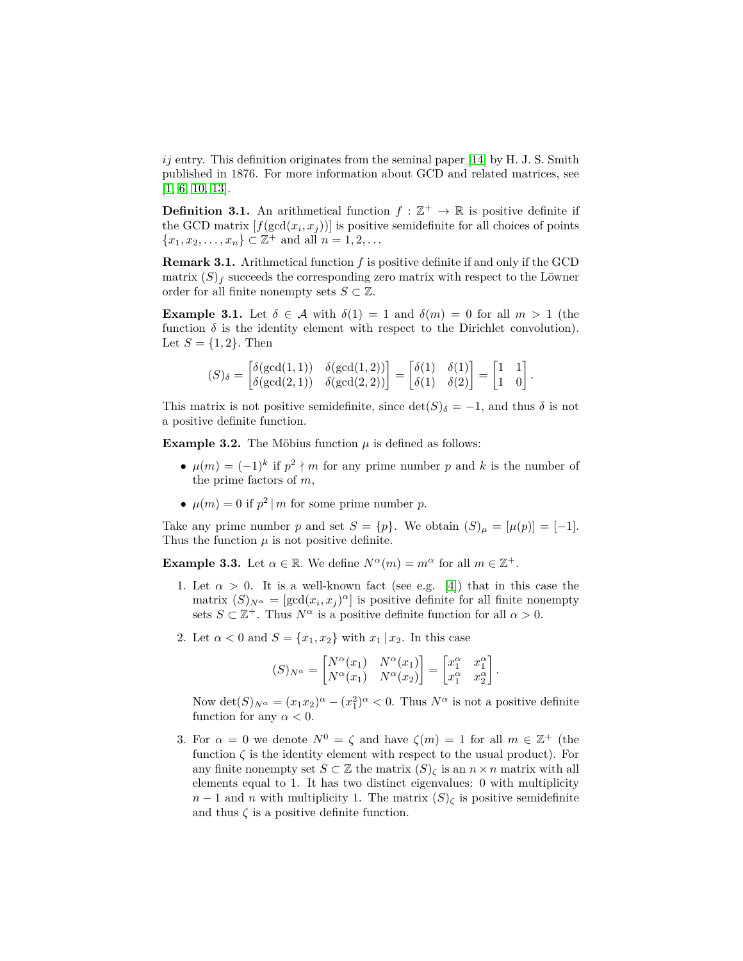*ij* entry. This definition originates from the seminal paper [\[14\]](#page-12-5) by H. J. S. Smith published in 1876. For more information about GCD and related matrices, see [\[1,](#page-11-0) [6,](#page-12-6) [10,](#page-12-7) [13\]](#page-12-8).

**Definition 3.1.** An arithmetical function  $f : \mathbb{Z}^+ \to \mathbb{R}$  is positive definite if the GCD matrix  $[f(\gcd(x_i, x_j))]$  is positive semidefinite for all choices of points  ${x_1, x_2, \ldots, x_n} \subset \mathbb{Z}^+$  and all  $n = 1, 2, \ldots$ 

**Remark 3.1.** Arithmetical function *f* is positive definite if and only if the GCD matrix  $(S)_f$  succeeds the corresponding zero matrix with respect to the Löwner order for all finite nonempty sets  $S \subset \mathbb{Z}$ .

<span id="page-3-1"></span>**Example 3.1.** Let  $\delta \in \mathcal{A}$  with  $\delta(1) = 1$  and  $\delta(m) = 0$  for all  $m > 1$  (the function  $\delta$  is the identity element with respect to the Dirichlet convolution). Let  $S = \{1, 2\}$ . Then

$$
(S)_{\delta} = \begin{bmatrix} \delta(\gcd(1,1)) & \delta(\gcd(1,2)) \\ \delta(\gcd(2,1)) & \delta(\gcd(2,2)) \end{bmatrix} = \begin{bmatrix} \delta(1) & \delta(1) \\ \delta(1) & \delta(2) \end{bmatrix} = \begin{bmatrix} 1 & 1 \\ 1 & 0 \end{bmatrix}.
$$

This matrix is not positive semidefinite, since  $\det(S)_{\delta} = -1$ , and thus  $\delta$  is not a positive definite function.

**Example 3.2.** The Möbius function  $\mu$  is defined as follows:

- $\mu(m) = (-1)^k$  if  $p^2 \nmid m$  for any prime number p and k is the number of the prime factors of *m*,
- $\mu(m) = 0$  if  $p^2 | m$  for some prime number *p*.

Take any prime number *p* and set  $S = \{p\}$ . We obtain  $(S)_{\mu} = [\mu(p)] = [-1]$ *.* Thus the function  $\mu$  is not positive definite.

<span id="page-3-2"></span>**Example 3.3.** Let  $\alpha \in \mathbb{R}$ . We define  $N^{\alpha}(m) = m^{\alpha}$  for all  $m \in \mathbb{Z}^{+}$ .

- 1. Let  $\alpha > 0$ . It is a well-known fact (see e.g. [\[4\]](#page-12-9)) that in this case the matrix  $(S)_{N^{\alpha}} = [\gcd(x_i, x_j)^{\alpha}]$  is positive definite for all finite nonempty sets  $S \subset \mathbb{Z}^+$ . Thus  $N^{\alpha}$  is a positive definite function for all  $\alpha > 0$ .
- 2. Let  $\alpha < 0$  and  $S = \{x_1, x_2\}$  with  $x_1 | x_2$ . In this case

$$
(S)_{N^{\alpha}} = \begin{bmatrix} N^{\alpha}(x_1) & N^{\alpha}(x_1) \\ N^{\alpha}(x_1) & N^{\alpha}(x_2) \end{bmatrix} = \begin{bmatrix} x_1^{\alpha} & x_1^{\alpha} \\ x_1^{\alpha} & x_2^{\alpha} \end{bmatrix}.
$$

Now  $\det(S)_{N^{\alpha}} = (x_1 x_2)^{\alpha} - (x_1^2)^{\alpha} < 0$ . Thus  $N^{\alpha}$  is not a positive definite function for any  $\alpha < 0$ .

<span id="page-3-0"></span>3. For  $\alpha = 0$  we denote  $N^0 = \zeta$  and have  $\zeta(m) = 1$  for all  $m \in \mathbb{Z}^+$  (the function  $\zeta$  is the identity element with respect to the usual product). For any finite nonempty set  $S \subset \mathbb{Z}$  the matrix  $(S)_{\zeta}$  is an  $n \times n$  matrix with all elements equal to 1. It has two distinct eigenvalues: 0 with multiplicity  $n-1$  and *n* with multiplicity 1. The matrix  $(S)_{\zeta}$  is positive semidefinite and thus  $\zeta$  is a positive definite function.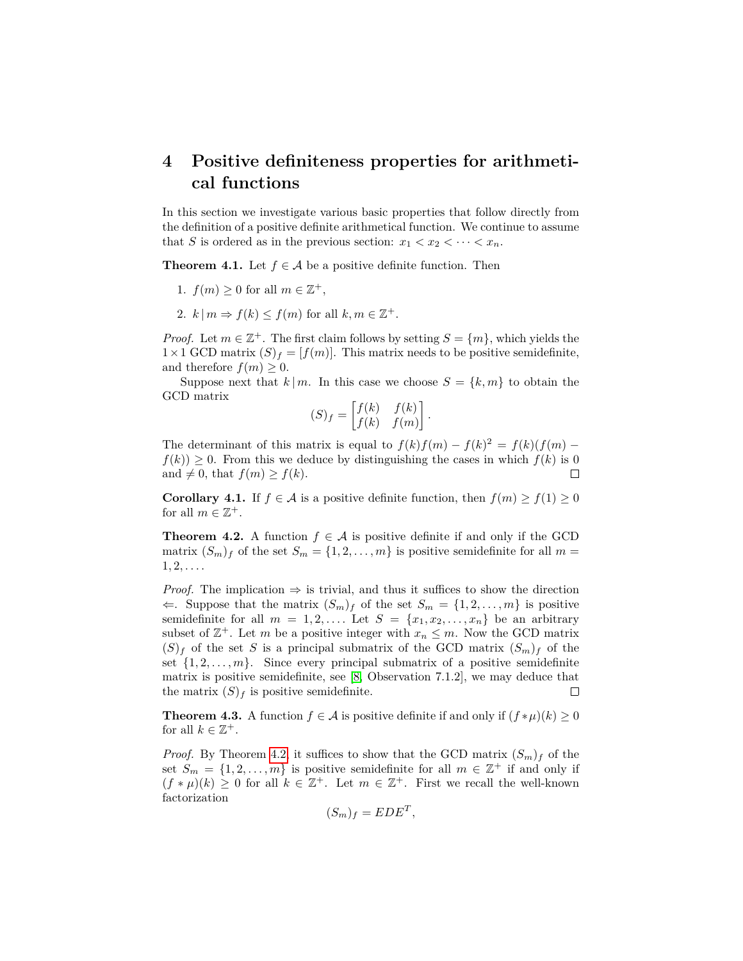## **4 Positive definiteness properties for arithmetical functions**

In this section we investigate various basic properties that follow directly from the definition of a positive definite arithmetical function. We continue to assume that *S* is ordered as in the previous section:  $x_1 < x_2 < \cdots < x_n$ .

<span id="page-4-1"></span>**Theorem 4.1.** Let  $f \in \mathcal{A}$  be a positive definite function. Then

- 1.  $f(m) \geq 0$  for all  $m \in \mathbb{Z}^+$ ,
- 2.  $k | m \Rightarrow f(k) \le f(m)$  for all  $k, m \in \mathbb{Z}^+$ .

*Proof.* Let  $m \in \mathbb{Z}^+$ . The first claim follows by setting  $S = \{m\}$ , which yields the  $1 \times 1$  GCD matrix  $(S)_f = [f(m)]$ . This matrix needs to be positive semidefinite, and therefore  $f(m) \geq 0$ .

Suppose next that  $k \mid m$ . In this case we choose  $S = \{k, m\}$  to obtain the GCD matrix

$$
(S)_f = \begin{bmatrix} f(k) & f(k) \\ f(k) & f(m) \end{bmatrix}.
$$

The determinant of this matrix is equal to  $f(k)f(m) - f(k)^2 = f(k)(f(m)$  $f(k)$ )  $\geq$  0. From this we deduce by distinguishing the cases in which  $f(k)$  is 0 and  $\neq 0$ , that  $f(m) \geq f(k)$ .  $\Box$ 

**Corollary 4.1.** If  $f \in \mathcal{A}$  is a positive definite function, then  $f(m) \ge f(1) \ge 0$ for all  $m \in \mathbb{Z}^+$ .

<span id="page-4-0"></span>**Theorem 4.2.** A function  $f \in \mathcal{A}$  is positive definite if and only if the GCD matrix  $(S_m)_f$  of the set  $S_m = \{1, 2, \ldots, m\}$  is positive semidefinite for all  $m =$  $1, 2, \ldots$ .

*Proof.* The implication  $\Rightarrow$  is trivial, and thus it suffices to show the direction  $\Leftarrow$ . Suppose that the matrix  $(S_m)_f$  of the set  $S_m = \{1, 2, \ldots, m\}$  is positive semidefinite for all  $m = 1, 2, \ldots$  Let  $S = \{x_1, x_2, \ldots, x_n\}$  be an arbitrary subset of  $\mathbb{Z}^+$ . Let *m* be a positive integer with  $x_n \leq m$ . Now the GCD matrix  $(S)_f$  of the set *S* is a principal submatrix of the GCD matrix  $(S_m)_f$  of the set  $\{1, 2, \ldots, m\}$ . Since every principal submatrix of a positive semidefinite matrix is positive semidefinite, see [\[8,](#page-12-2) Observation 7.1.2], we may deduce that the matrix  $(S)_f$  is positive semidefinite.  $\Box$ 

<span id="page-4-2"></span>**Theorem 4.3.** A function  $f \in \mathcal{A}$  is positive definite if and only if  $(f * \mu)(k) \geq 0$ for all  $k \in \mathbb{Z}^+$ .

*Proof.* By Theorem [4.2,](#page-4-0) it suffices to show that the GCD matrix  $(S_m)_f$  of the set  $S_m = \{1, 2, \ldots, m\}$  is positive semidefinite for all  $m \in \mathbb{Z}^+$  if and only if  $(f * \mu)(k) \geq 0$  for all  $k \in \mathbb{Z}^+$ . Let  $m \in \mathbb{Z}^+$ . First we recall the well-known factorization

$$
(S_m)_f = EDE^T,
$$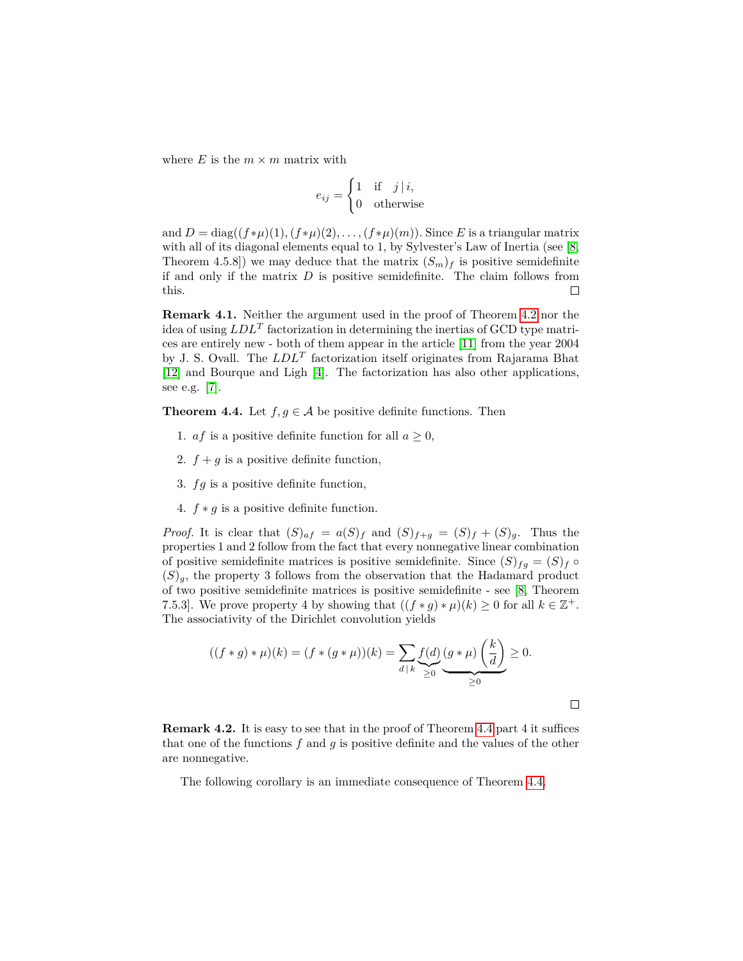where  $E$  is the  $m \times m$  matrix with

$$
e_{ij} = \begin{cases} 1 & \text{if } j \mid i, \\ 0 & \text{otherwise} \end{cases}
$$

and  $D = \text{diag}((f * \mu)(1), (f * \mu)(2), \ldots, (f * \mu)(m))$ . Since *E* is a triangular matrix with all of its diagonal elements equal to 1, by Sylvester's Law of Inertia (see [\[8,](#page-12-2) Theorem 4.5.8]) we may deduce that the matrix  $(S_m)_f$  is positive semidefinite if and only if the matrix *D* is positive semidefinite. The claim follows from this.  $\Box$ 

**Remark 4.1.** Neither the argument used in the proof of Theorem [4.2](#page-4-0) nor the idea of using *LDL<sup>T</sup>* factorization in determining the inertias of GCD type matrices are entirely new - both of them appear in the article [\[11\]](#page-12-10) from the year 2004 by J. S. Ovall. The *LDL<sup>T</sup>* factorization itself originates from Rajarama Bhat [\[12\]](#page-12-11) and Bourque and Ligh [\[4\]](#page-12-9). The factorization has also other applications, see e.g. [\[7\]](#page-12-12).

<span id="page-5-0"></span>**Theorem 4.4.** Let  $f, g \in \mathcal{A}$  be positive definite functions. Then

- 1. *af* is a positive definite function for all  $a \geq 0$ ,
- 2.  $f + g$  is a positive definite function,
- 3. *fg* is a positive definite function,
- 4. *f* ∗ *g* is a positive definite function.

*Proof.* It is clear that  $(S)_{af} = a(S)_f$  and  $(S)_{f+g} = (S)_f + (S)_g$ . Thus the properties 1 and 2 follow from the fact that every nonnegative linear combination of positive semidefinite matrices is positive semidefinite. Since  $(S)_{fg} = (S)_f \circ$  $(S)<sub>a</sub>$ , the property 3 follows from the observation that the Hadamard product of two positive semidefinite matrices is positive semidefinite - see [\[8,](#page-12-2) Theorem 7.5.3]. We prove property 4 by showing that  $((f * g) * \mu)(k) \geq 0$  for all  $k \in \mathbb{Z}^+$ . The associativity of the Dirichlet convolution yields

$$
((f * g) * \mu)(k) = (f * (g * \mu))(k) = \sum_{d \mid k} \underbrace{f(d)}_{\geq 0} \underbrace{(g * \mu)}_{\geq 0} \underbrace{\left(\frac{k}{d}\right)}_{\geq 0} \geq 0.
$$

 $\Box$ 

**Remark 4.2.** It is easy to see that in the proof of Theorem [4.4](#page-5-0) part 4 it suffices that one of the functions *f* and *g* is positive definite and the values of the other are nonnegative.

The following corollary is an immediate consequence of Theorem [4.4.](#page-5-0)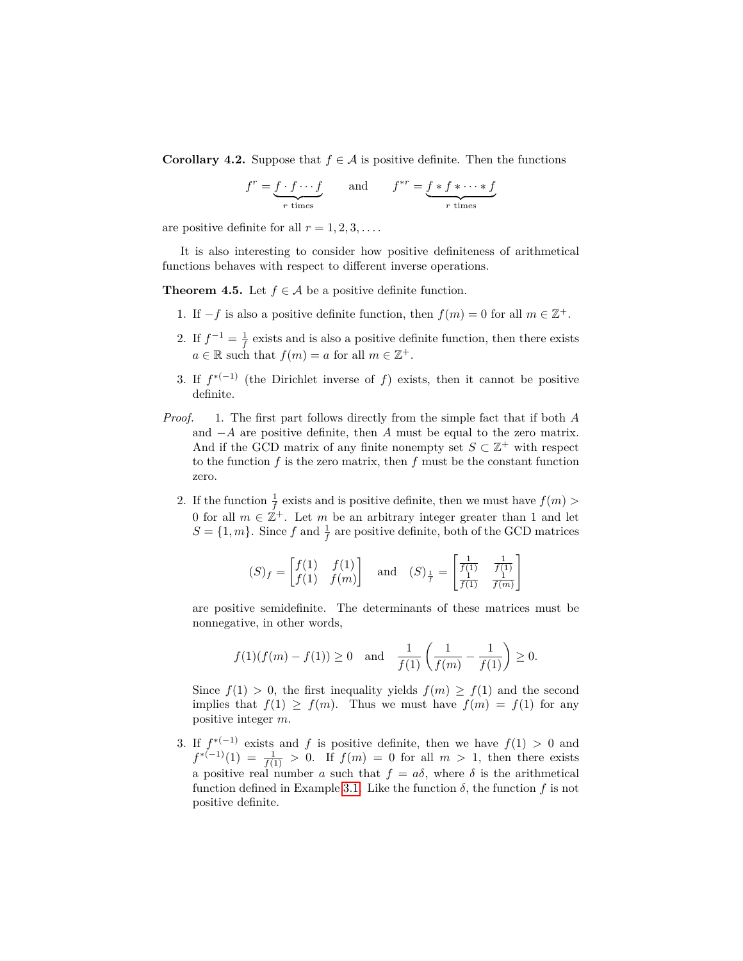**Corollary 4.2.** Suppose that  $f \in \mathcal{A}$  is positive definite. Then the functions

$$
f^r = \underbrace{f \cdot f \cdots f}_{r \text{ times}} \qquad \text{and} \qquad f^{*r} = \underbrace{f * f * \cdots * f}_{r \text{ times}}
$$

are positive definite for all  $r = 1, 2, 3, \ldots$ .

It is also interesting to consider how positive definiteness of arithmetical functions behaves with respect to different inverse operations.

**Theorem 4.5.** Let  $f \in \mathcal{A}$  be a positive definite function.

- 1. If  $-f$  is also a positive definite function, then  $f(m) = 0$  for all  $m \in \mathbb{Z}^+$ .
- 2. If  $f^{-1} = \frac{1}{f}$  exists and is also a positive definite function, then there exists  $a \in \mathbb{R}$  such that  $f(m) = a$  for all  $m \in \mathbb{Z}^+$ .
- 3. If  $f^{*(-1)}$  (the Dirichlet inverse of *f*) exists, then it cannot be positive definite.
- *Proof.* 1. The first part follows directly from the simple fact that if both *A* and −*A* are positive definite, then *A* must be equal to the zero matrix. And if the GCD matrix of any finite nonempty set  $S \subset \mathbb{Z}^+$  with respect to the function *f* is the zero matrix, then *f* must be the constant function zero.
	- 2. If the function  $\frac{1}{f}$  exists and is positive definite, then we must have  $f(m)$ 0 for all  $m \in \mathbb{Z}^+$ . Let  $m$  be an arbitrary integer greater than 1 and let  $S = \{1, m\}$ . Since *f* and  $\frac{1}{f}$  are positive definite, both of the GCD matrices

$$
(S)_f = \begin{bmatrix} f(1) & f(1) \\ f(1) & f(m) \end{bmatrix} \text{ and } (S)_{\frac{1}{f}} = \begin{bmatrix} \frac{1}{f(1)} & \frac{1}{f(1)} \\ \frac{1}{f(1)} & \frac{1}{f(m)} \end{bmatrix}
$$

are positive semidefinite. The determinants of these matrices must be nonnegative, in other words,

$$
f(1)(f(m) - f(1)) \ge 0
$$
 and  $\frac{1}{f(1)} \left( \frac{1}{f(m)} - \frac{1}{f(1)} \right) \ge 0.$ 

Since  $f(1) > 0$ , the first inequality yields  $f(m) \ge f(1)$  and the second implies that  $f(1) \ge f(m)$ . Thus we must have  $f(m) = f(1)$  for any positive integer *m*.

3. If  $f^{*(-1)}$  exists and f is positive definite, then we have  $f(1) > 0$  and  $f^{*(-1)}(1) = \frac{1}{f(1)} > 0$ . If  $f(m) = 0$  for all  $m > 1$ , then there exists a positive real number *a* such that  $f = a\delta$ , where  $\delta$  is the arithmetical function defined in Example [3.1.](#page-3-1) Like the function  $\delta$ , the function  $f$  is not positive definite.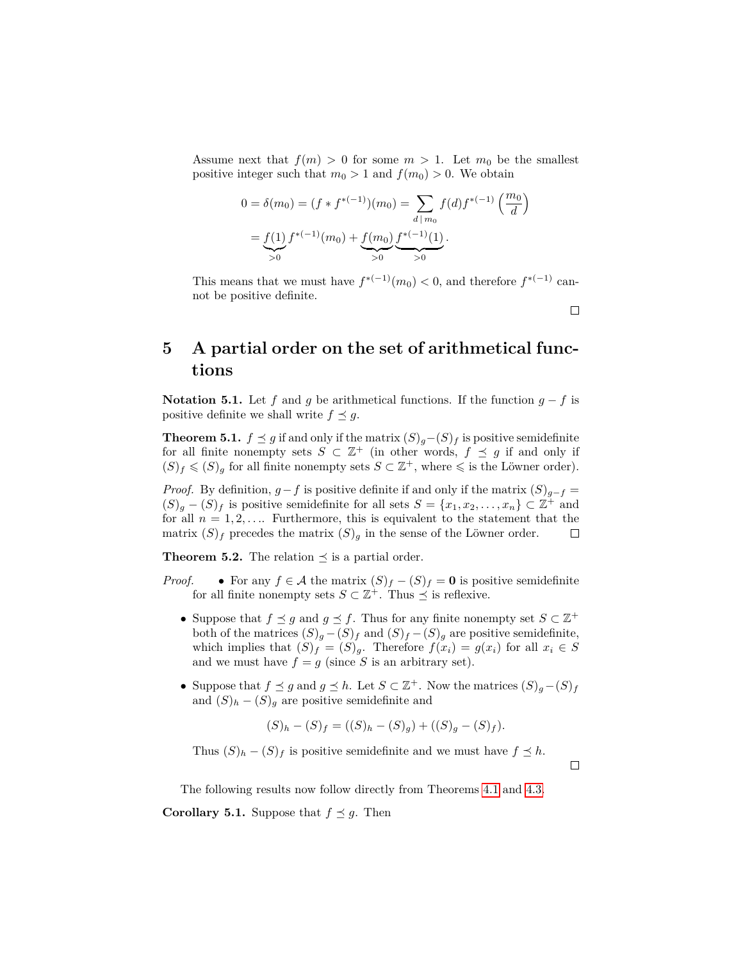Assume next that  $f(m) > 0$  for some  $m > 1$ . Let  $m_0$  be the smallest positive integer such that  $m_0 > 1$  and  $f(m_0) > 0$ . We obtain

$$
0 = \delta(m_0) = (f * f^{*(-1)})(m_0) = \sum_{d \mid m_0} f(d) f^{*(-1)}\left(\frac{m_0}{d}\right)
$$

$$
= \underbrace{f(1)}_{>0} f^{*(-1)}(m_0) + \underbrace{f(m_0)}_{>0} \underbrace{f^{*(-1)}(1)}_{>0}.
$$

This means that we must have  $f^{*(-1)}(m_0) < 0$ , and therefore  $f^{*(-1)}$  cannot be positive definite.

# <span id="page-7-0"></span>**5 A partial order on the set of arithmetical functions**

**Notation 5.1.** Let *f* and *g* be arithmetical functions. If the function  $g - f$  is positive definite we shall write  $f \preceq g$ .

**Theorem 5.1.**  $f \leq g$  if and only if the matrix  $(S)g-(S)f$  is positive semidefinite for all finite nonempty sets  $S \subset \mathbb{Z}^+$  (in other words,  $f \preceq g$  if and only if  $(S)_f \leqslant (S)_g$  for all finite nonempty sets  $S \subset \mathbb{Z}^+$ , where  $\leqslant$  is the Löwner order).

*Proof.* By definition,  $g - f$  is positive definite if and only if the matrix  $(S)_{g-f}$  =  $(S)_{g} - (S)_{f}$  is positive semidefinite for all sets  $S = \{x_1, x_2, \ldots, x_n\} \subset \mathbb{Z}^+$  and for all  $n = 1, 2, \ldots$  Furthermore, this is equivalent to the statement that the matrix  $(S)_f$  precedes the matrix  $(S)_g$  in the sense of the Löwner order.  $\Box$ 

**Theorem 5.2.** The relation  $\preceq$  is a partial order.

- *Proof.* For any  $f \in \mathcal{A}$  the matrix  $(S)_f (S)_f = 0$  is positive semidefinite for all finite nonempty sets  $S \subset \mathbb{Z}^+$ . Thus  $\preceq$  is reflexive.
	- Suppose that  $f \preceq g$  and  $g \preceq f$ . Thus for any finite nonempty set  $S \subset \mathbb{Z}^+$ both of the matrices  $(S)_g - (S)_f$  and  $(S)_f - (S)_g$  are positive semidefinite, which implies that  $(S)_f = (S)_g$ . Therefore  $f(x_i) = g(x_i)$  for all  $x_i \in S$ and we must have  $f = g$  (since *S* is an arbitrary set).
	- Suppose that  $f \preceq g$  and  $g \preceq h$ . Let  $S \subset \mathbb{Z}^+$ . Now the matrices  $(S)_{g}-(S)_{f}$ and  $(S)_h - (S)_g$  are positive semidefinite and

$$
(S)_h - (S)_f = ((S)_h - (S)_g) + ((S)_g - (S)_f).
$$

Thus  $(S)_h - (S)_f$  is positive semidefinite and we must have  $f \preceq h$ .

 $\Box$ 

 $\Box$ 

The following results now follow directly from Theorems [4.1](#page-4-1) and [4.3.](#page-4-2)

<span id="page-7-1"></span>**Corollary 5.1.** Suppose that  $f \preceq g$ . Then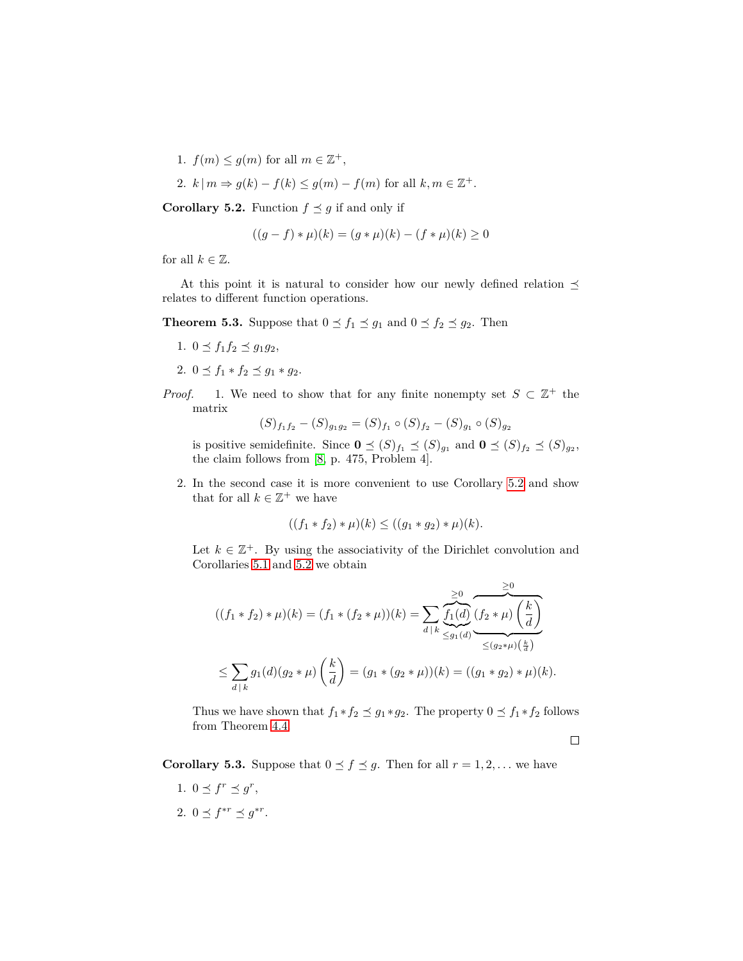1.  $f(m) \leq g(m)$  for all  $m \in \mathbb{Z}^+$ ,

2. 
$$
k \mid m \Rightarrow g(k) - f(k) \le g(m) - f(m)
$$
 for all  $k, m \in \mathbb{Z}^+$ .

<span id="page-8-0"></span>**Corollary 5.2.** Function  $f \preceq g$  if and only if

$$
((g - f) * \mu)(k) = (g * \mu)(k) - (f * \mu)(k) \ge 0
$$

for all  $k \in \mathbb{Z}$ .

At this point it is natural to consider how our newly defined relation  $\preceq$ relates to different function operations.

**Theorem 5.3.** Suppose that  $0 \le f_1 \le g_1$  and  $0 \le f_2 \le g_2$ . Then

- 1.  $0 \le f_1 f_2 \le g_1 g_2$ ,
- 2.  $0 \le f_1 * f_2 \le g_1 * g_2$ .
- *Proof.* 1. We need to show that for any finite nonempty set  $S \subset \mathbb{Z}^+$  the matrix

$$
(S)_{f_1f_2} - (S)_{g_1g_2} = (S)_{f_1} \circ (S)_{f_2} - (S)_{g_1} \circ (S)_{g_2}
$$

is positive semidefinite. Since  $\mathbf{0} \preceq (S)_{f_1} \preceq (S)_{g_1}$  and  $\mathbf{0} \preceq (S)_{f_2} \preceq (S)_{g_2}$ , the claim follows from [\[8,](#page-12-2) p. 475, Problem 4].

2. In the second case it is more convenient to use Corollary [5.2](#page-8-0) and show that for all  $k \in \mathbb{Z}^+$  we have

$$
((f_1 * f_2) * \mu)(k) \le ((g_1 * g_2) * \mu)(k).
$$

Let  $k \in \mathbb{Z}^+$ . By using the associativity of the Dirichlet convolution and Corollaries [5.1](#page-7-1) and [5.2](#page-8-0) we obtain

((*f*<sup>1</sup> ∗ *f*2) ∗ *µ*)(*k*) = (*f*<sup>1</sup> ∗ (*f*<sup>2</sup> ∗ *µ*))(*k*) = X *d* | *k* ≥0 z }| { *f*1(*d*) | {z } ≤*g*1(*d*) ≥0 z }| { (*f*<sup>2</sup> ∗ *µ*) *k d* | {z } <sup>≤</sup>(*g*2∗*µ*)( *k d* ) ≤ X *d* | *k g*1(*d*)(*g*<sup>2</sup> ∗ *µ*) *k d* = (*g*<sup>1</sup> ∗ (*g*<sup>2</sup> ∗ *µ*))(*k*) = ((*g*<sup>1</sup> ∗ *g*2) ∗ *µ*)(*k*)*.*

Thus we have shown that  $f_1 * f_2 \preceq g_1 * g_2$ . The property  $0 \preceq f_1 * f_2$  follows from Theorem [4.4.](#page-5-0)

 $\Box$ 

**Corollary 5.3.** Suppose that  $0 \le f \le g$ . Then for all  $r = 1, 2, \ldots$  we have

- 1.  $0 \leq f^r \leq g^r$ ,
- 2.  $0 \leq f^{*r} \leq g^{*r}$ .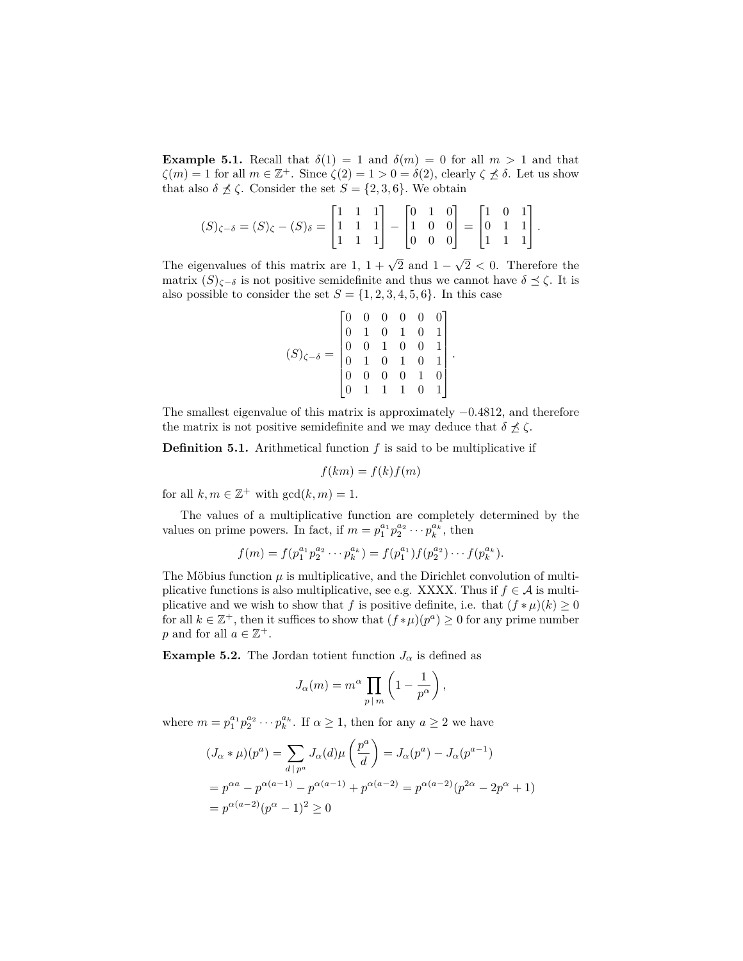**Example 5.1.** Recall that  $\delta(1) = 1$  and  $\delta(m) = 0$  for all  $m > 1$  and that  $\zeta(m) = 1$  for all  $m \in \mathbb{Z}^+$ . Since  $\zeta(2) = 1 > 0 = \delta(2)$ , clearly  $\zeta \not\preceq \delta$ . Let us show that also  $\delta \npreceq \zeta$ . Consider the set  $S = \{2, 3, 6\}$ . We obtain

$$
(S)_{\zeta-\delta} = (S)_{\zeta} - (S)_{\delta} = \begin{bmatrix} 1 & 1 & 1 \\ 1 & 1 & 1 \\ 1 & 1 & 1 \end{bmatrix} - \begin{bmatrix} 0 & 1 & 0 \\ 1 & 0 & 0 \\ 0 & 0 & 0 \end{bmatrix} = \begin{bmatrix} 1 & 0 & 1 \\ 0 & 1 & 1 \\ 1 & 1 & 1 \end{bmatrix}.
$$

The eigenvalues of this matrix are  $1, 1 + \sqrt{2}$  and  $1 -$ √ 2 *<* 0. Therefore the matrix  $(S)_{\zeta-\delta}$  is not positive semidefinite and thus we cannot have  $\delta \preceq \zeta$ . It is also possible to consider the set  $S = \{1, 2, 3, 4, 5, 6\}$ . In this case

$$
(S)_{\zeta-\delta} = \begin{bmatrix} 0 & 0 & 0 & 0 & 0 & 0 \\ 0 & 1 & 0 & 1 & 0 & 1 \\ 0 & 0 & 1 & 0 & 0 & 1 \\ 0 & 1 & 0 & 1 & 0 & 1 \\ 0 & 0 & 0 & 0 & 1 & 0 \\ 0 & 1 & 1 & 1 & 0 & 1 \end{bmatrix}.
$$

The smallest eigenvalue of this matrix is approximately −0*.*4812, and therefore the matrix is not positive semidefinite and we may deduce that  $\delta \npreceq \zeta$ .

**Definition 5.1.** Arithmetical function *f* is said to be multiplicative if

$$
f(km) = f(k)f(m)
$$

for all  $k, m \in \mathbb{Z}^+$  with  $gcd(k, m) = 1$ .

The values of a multiplicative function are completely determined by the values on prime powers. In fact, if  $m = p_1^{a_1} p_2^{a_2} \cdots p_k^{a_k}$ , then

$$
f(m) = f(p_1^{a_1}p_2^{a_2}\cdots p_k^{a_k}) = f(p_1^{a_1})f(p_2^{a_2})\cdots f(p_k^{a_k}).
$$

The Möbius function  $\mu$  is multiplicative, and the Dirichlet convolution of multiplicative functions is also multiplicative, see e.g. XXXX. Thus if  $f \in A$  is multiplicative and we wish to show that *f* is positive definite, i.e. that  $(f * \mu)(k) \geq 0$ for all  $k \in \mathbb{Z}^+$ , then it suffices to show that  $(f * \mu)(p^a) \geq 0$  for any prime number *p* and for all  $a \in \mathbb{Z}^+$ .

<span id="page-9-0"></span>**Example 5.2.** The Jordan totient function  $J_\alpha$  is defined as

$$
J_{\alpha}(m) = m^{\alpha} \prod_{p \mid m} \left( 1 - \frac{1}{p^{\alpha}} \right),
$$

where  $m = p_1^{a_1} p_2^{a_2} \cdots p_k^{a_k}$ . If  $\alpha \ge 1$ , then for any  $a \ge 2$  we have

$$
(J_{\alpha} * \mu)(p^a) = \sum_{d \mid p^a} J_{\alpha}(d)\mu\left(\frac{p^a}{d}\right) = J_{\alpha}(p^a) - J_{\alpha}(p^{a-1})
$$
  
=  $p^{\alpha a} - p^{\alpha(a-1)} - p^{\alpha(a-1)} + p^{\alpha(a-2)} = p^{\alpha(a-2)}(p^{2\alpha} - 2p^{\alpha} + 1)$   
=  $p^{\alpha(a-2)}(p^{\alpha} - 1)^2 \ge 0$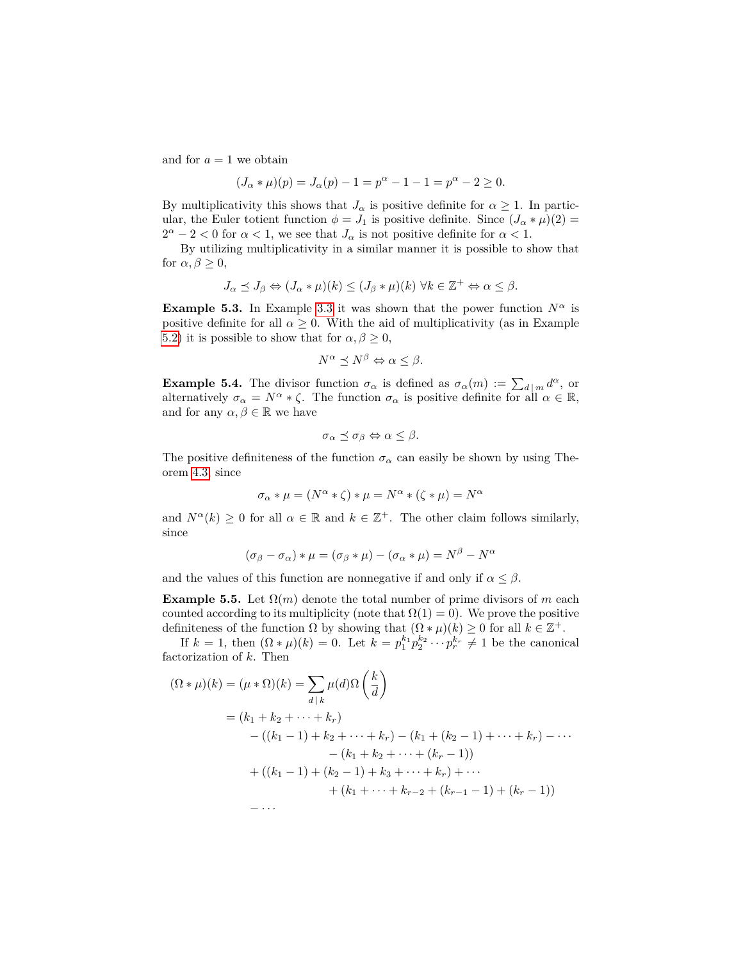and for  $a = 1$  we obtain

$$
(J_{\alpha} * \mu)(p) = J_{\alpha}(p) - 1 = p^{\alpha} - 1 - 1 = p^{\alpha} - 2 \ge 0.
$$

By multiplicativity this shows that  $J_\alpha$  is positive definite for  $\alpha \geq 1$ . In particular, the Euler totient function  $\phi = J_1$  is positive definite. Since  $(J_\alpha * \mu)(2) =$  $2^{\alpha} - 2 < 0$  for  $\alpha < 1$ , we see that  $J_{\alpha}$  is not positive definite for  $\alpha < 1$ .

By utilizing multiplicativity in a similar manner it is possible to show that for  $\alpha, \beta \geq 0$ ,

$$
J_{\alpha} \preceq J_{\beta} \Leftrightarrow (J_{\alpha} * \mu)(k) \le (J_{\beta} * \mu)(k) \ \forall k \in \mathbb{Z}^+ \Leftrightarrow \alpha \le \beta.
$$

**Example 5.3.** In Example [3.3](#page-3-2) it was shown that the power function  $N^{\alpha}$  is positive definite for all  $\alpha \geq 0$ . With the aid of multiplicativity (as in Example [5.2\)](#page-9-0) it is possible to show that for  $\alpha, \beta \geq 0$ ,

$$
N^{\alpha} \preceq N^{\beta} \Leftrightarrow \alpha \leq \beta.
$$

**Example 5.4.** The divisor function  $\sigma_{\alpha}$  is defined as  $\sigma_{\alpha}(m) := \sum_{d | m} d^{\alpha}$ , or alternatively  $\sigma_{\alpha} = N^{\alpha} * \zeta$ . The function  $\sigma_{\alpha}$  is positive definite for all  $\alpha \in \mathbb{R}$ , and for any  $\alpha, \beta \in \mathbb{R}$  we have

$$
\sigma_{\alpha} \preceq \sigma_{\beta} \Leftrightarrow \alpha \leq \beta.
$$

The positive definiteness of the function  $\sigma_{\alpha}$  can easily be shown by using Theorem [4.3,](#page-4-2) since

$$
\sigma_{\alpha} * \mu = (N^{\alpha} * \zeta) * \mu = N^{\alpha} * (\zeta * \mu) = N^{\alpha}
$$

and  $N^{\alpha}(k) \geq 0$  for all  $\alpha \in \mathbb{R}$  and  $k \in \mathbb{Z}^+$ . The other claim follows similarly, since

$$
(\sigma_{\beta} - \sigma_{\alpha}) * \mu = (\sigma_{\beta} * \mu) - (\sigma_{\alpha} * \mu) = N^{\beta} - N^{\alpha}
$$

and the values of this function are nonnegative if and only if  $\alpha \leq \beta$ .

**Example 5.5.** Let  $\Omega(m)$  denote the total number of prime divisors of *m* each counted according to its multiplicity (note that  $\Omega(1) = 0$ ). We prove the positive definiteness of the function  $\Omega$  by showing that  $(\Omega * \mu)(k) \geq 0$  for all  $k \in \mathbb{Z}^+$ .

If  $k = 1$ , then  $(\Omega * \mu)(k) = 0$ . Let  $k = p_1^{k_1} p_2^{k_2} \cdots p_r^{k_r} \neq 1$  be the canonical factorization of *k*. Then

$$
(\Omega * \mu)(k) = (\mu * \Omega)(k) = \sum_{d \mid k} \mu(d)\Omega\left(\frac{k}{d}\right)
$$
  
=  $(k_1 + k_2 + \dots + k_r)$   
-  $((k_1 - 1) + k_2 + \dots + k_r) - (k_1 + (k_2 - 1) + \dots + k_r) - \dots$   
-  $(k_1 + k_2 + \dots + (k_r - 1))$   
+  $((k_1 - 1) + (k_2 - 1) + k_3 + \dots + k_r) + \dots$   
+  $(k_1 + \dots + k_{r-2} + (k_{r-1} - 1) + (k_r - 1))$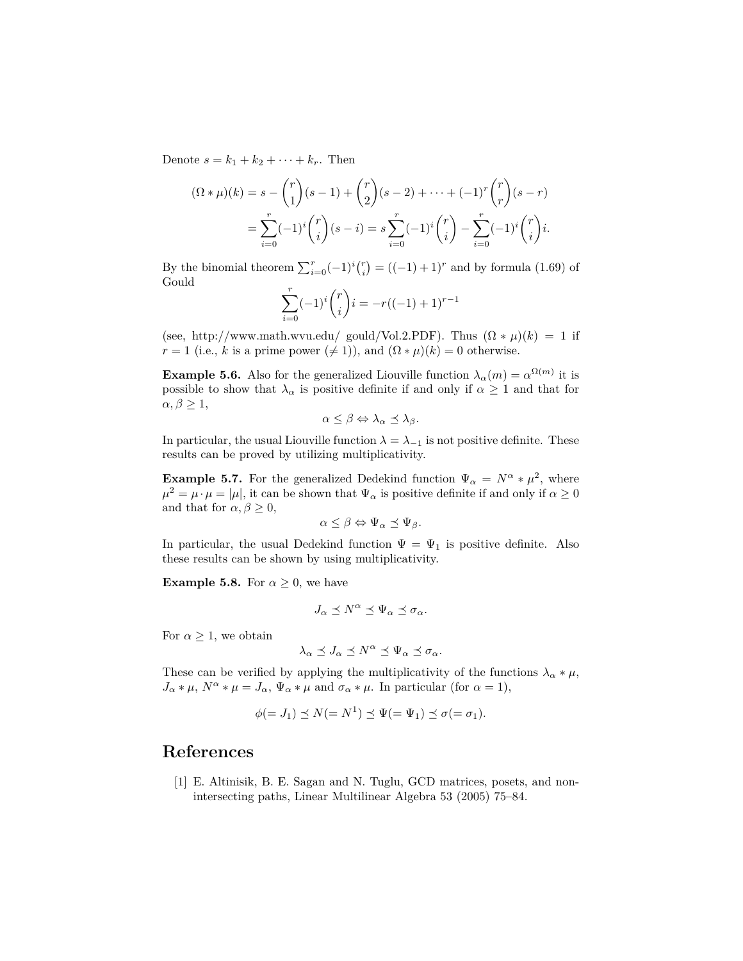Denote  $s = k_1 + k_2 + \cdots + k_r$ . Then

$$
(\Omega * \mu)(k) = s - {r \choose 1}(s-1) + {r \choose 2}(s-2) + \dots + (-1)^r {r \choose r}(s-r)
$$
  
= 
$$
\sum_{i=0}^r (-1)^i {r \choose i}(s-i) = s \sum_{i=0}^r (-1)^i {r \choose i} - \sum_{i=0}^r (-1)^i {r \choose i}i.
$$

By the binomial theorem  $\sum_{i=0}^{r}(-1)^{i}\binom{r}{i} = ((-1) + 1)^{r}$  and by formula (1.69) of Gould

$$
\sum_{i=0}^{r} (-1)^{i} {r \choose i} i = -r((-1)+1)^{r-1}
$$

(see, http://www.math.wvu.edu/ gould/Vol.2.PDF). Thus  $(\Omega * \mu)(k) = 1$  if *r* = 1 (i.e., *k* is a prime power ( $\neq$  1)), and ( $\Omega * \mu$ )(*k*) = 0 otherwise.

**Example 5.6.** Also for the generalized Liouville function  $\lambda_{\alpha}(m) = \alpha^{\Omega(m)}$  it is possible to show that  $\lambda_{\alpha}$  is positive definite if and only if  $\alpha \geq 1$  and that for  $\alpha, \beta \geq 1$ ,

$$
\alpha \leq \beta \Leftrightarrow \lambda_{\alpha} \leq \lambda_{\beta}.
$$

In particular, the usual Liouville function  $\lambda = \lambda_{-1}$  is not positive definite. These results can be proved by utilizing multiplicativity.

**Example 5.7.** For the generalized Dedekind function  $\Psi_{\alpha} = N^{\alpha} * \mu^2$ , where  $\mu^2 = \mu \cdot \mu = |\mu|$ , it can be shown that  $\Psi_{\alpha}$  is positive definite if and only if  $\alpha \ge 0$ and that for  $\alpha, \beta \geq 0$ ,

$$
\alpha \leq \beta \Leftrightarrow \Psi_{\alpha} \preceq \Psi_{\beta}.
$$

In particular, the usual Dedekind function  $\Psi = \Psi_1$  is positive definite. Also these results can be shown by using multiplicativity.

**Example 5.8.** For  $\alpha \geq 0$ , we have

$$
J_{\alpha} \preceq N^{\alpha} \preceq \Psi_{\alpha} \preceq \sigma_{\alpha}.
$$

For  $\alpha \geq 1$ , we obtain

$$
\lambda_\alpha\preceq J_\alpha\preceq N^\alpha\preceq \Psi_\alpha\preceq\sigma_\alpha.
$$

These can be verified by applying the multiplicativity of the functions  $\lambda_{\alpha} * \mu$ ,  $J_{\alpha} * \mu$ ,  $N^{\alpha} * \mu = J_{\alpha}$ ,  $\Psi_{\alpha} * \mu$  and  $\sigma_{\alpha} * \mu$ . In particular (for  $\alpha = 1$ ),

$$
\phi(=J_1) \preceq N(=N^1) \preceq \Psi(=\Psi_1) \preceq \sigma(=\sigma_1).
$$

#### **References**

<span id="page-11-0"></span>[1] E. Altinisik, B. E. Sagan and N. Tuglu, GCD matrices, posets, and nonintersecting paths, Linear Multilinear Algebra 53 (2005) 75–84.